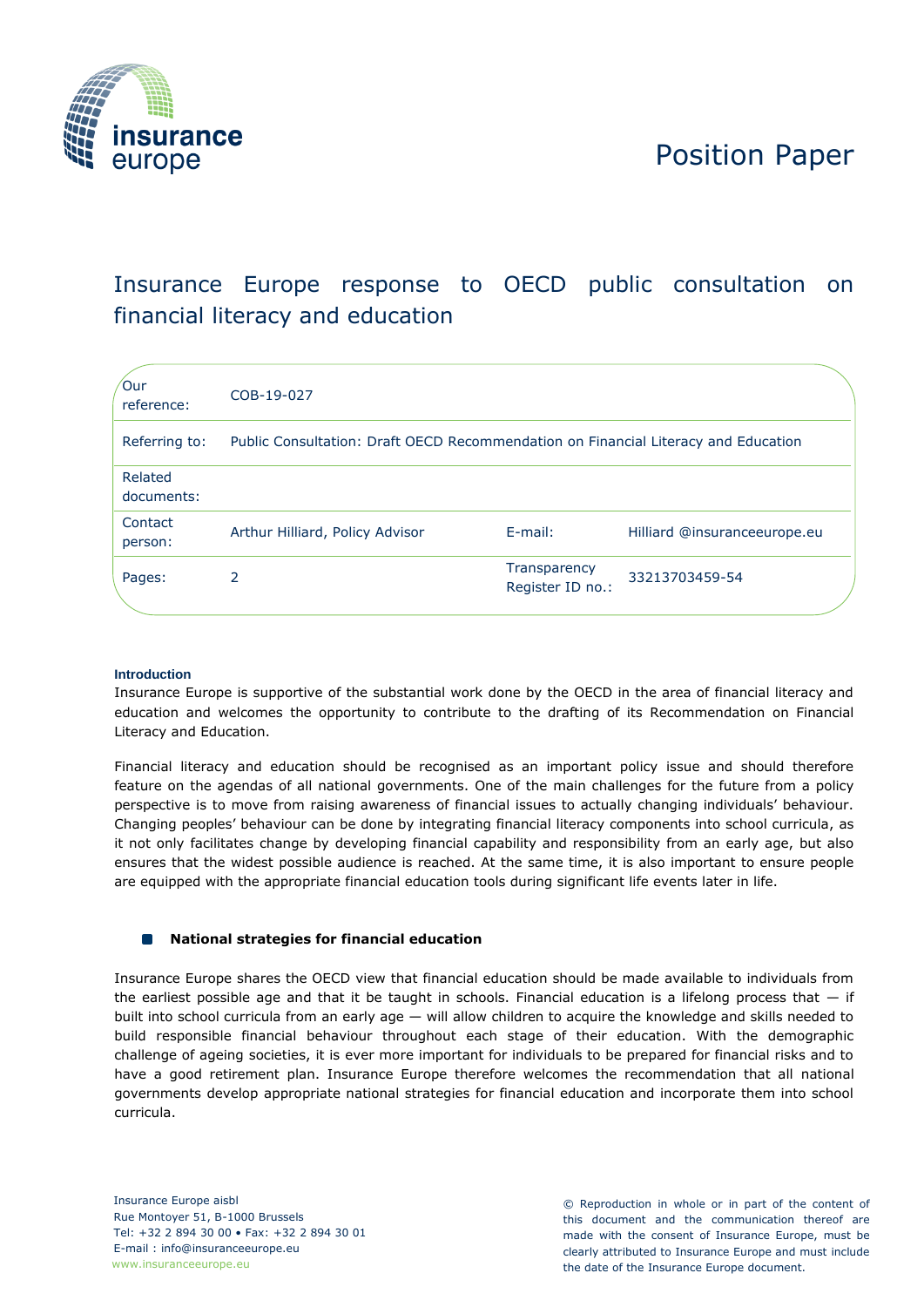

# Position Paper

## Insurance Europe response to OECD public consultation on financial literacy and education

| 'Our<br>reference:    | COB-19-027                                                                         |                                  |                              |
|-----------------------|------------------------------------------------------------------------------------|----------------------------------|------------------------------|
| Referring to:         | Public Consultation: Draft OECD Recommendation on Financial Literacy and Education |                                  |                              |
| Related<br>documents: |                                                                                    |                                  |                              |
| Contact<br>person:    | Arthur Hilliard, Policy Advisor                                                    | $E$ -mail:                       | Hilliard @insuranceeurope.eu |
| Pages:                | 2                                                                                  | Transparency<br>Register ID no.: | 33213703459-54               |

## **Introduction**

Insurance Europe is supportive of the substantial work done by the OECD in the area of financial literacy and education and welcomes the opportunity to contribute to the drafting of its Recommendation on Financial Literacy and Education.

Financial literacy and education should be recognised as an important policy issue and should therefore feature on the agendas of all national governments. One of the main challenges for the future from a policy perspective is to move from raising awareness of financial issues to actually changing individuals' behaviour. Changing peoples' behaviour can be done by integrating financial literacy components into school curricula, as it not only facilitates change by developing financial capability and responsibility from an early age, but also ensures that the widest possible audience is reached. At the same time, it is also important to ensure people are equipped with the appropriate financial education tools during significant life events later in life.

#### $\Box$ **National strategies for financial education**

Insurance Europe shares the OECD view that financial education should be made available to individuals from the earliest possible age and that it be taught in schools. Financial education is a lifelong process that  $-$  if built into school curricula from an early age — will allow children to acquire the knowledge and skills needed to build responsible financial behaviour throughout each stage of their education. With the demographic challenge of ageing societies, it is ever more important for individuals to be prepared for financial risks and to have a good retirement plan. Insurance Europe therefore welcomes the recommendation that all national governments develop appropriate national strategies for financial education and incorporate them into school curricula.

© Reproduction in whole or in part of the content of this document and the communication thereof are made with the consent of Insurance Europe, must be clearly attributed to Insurance Europe and must include the date of the Insurance Europe document.